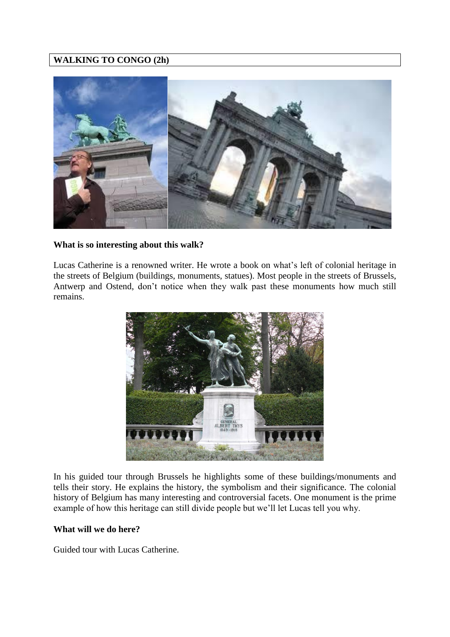# **WALKING TO CONGO (2h)**



## **What is so interesting about this walk?**

Lucas Catherine is a renowned writer. He wrote a book on what's left of colonial heritage in the streets of Belgium (buildings, monuments, statues). Most people in the streets of Brussels, Antwerp and Ostend, don't notice when they walk past these monuments how much still remains.



In his guided tour through Brussels he highlights some of these buildings/monuments and tells their story. He explains the history, the symbolism and their significance. The colonial history of Belgium has many interesting and controversial facets. One monument is the prime example of how this heritage can still divide people but we'll let Lucas tell you why.

## **What will we do here?**

Guided tour with Lucas Catherine.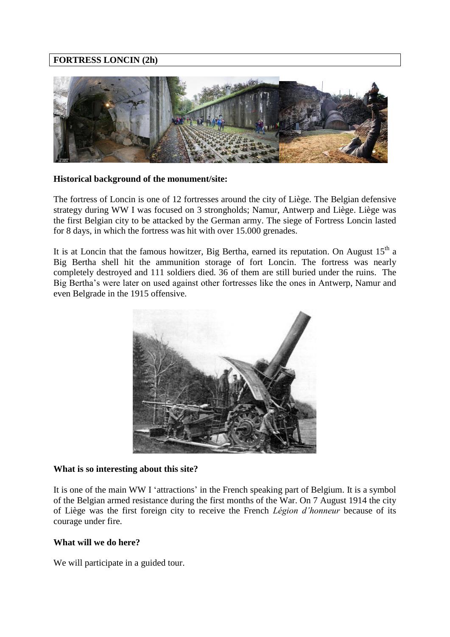# **FORTRESS LONCIN (2h)**



### **Historical background of the monument/site:**

The fortress of Loncin is one of 12 fortresses around the city of Liège. The Belgian defensive strategy during WW I was focused on 3 strongholds; Namur, Antwerp and Liège. Liège was the first Belgian city to be attacked by the German army. The siege of Fortress Loncin lasted for 8 days, in which the fortress was hit with over 15.000 grenades.

It is at Loncin that the famous howitzer, Big Bertha, earned its reputation. On August  $15<sup>th</sup>$  a Big Bertha shell hit the ammunition storage of fort Loncin. The fortress was nearly completely destroyed and 111 soldiers died. 36 of them are still buried under the ruins. The Big Bertha's were later on used against other fortresses like the ones in Antwerp, Namur and even Belgrade in the 1915 offensive.



### **What is so interesting about this site?**

It is one of the main WW I 'attractions' in the French speaking part of Belgium. It is a symbol of the Belgian armed resistance during the first months of the War. On 7 August 1914 the city of Liège was the first foreign city to receive the French *Légion d'honneur* because of its courage under fire.

### **What will we do here?**

We will participate in a guided tour.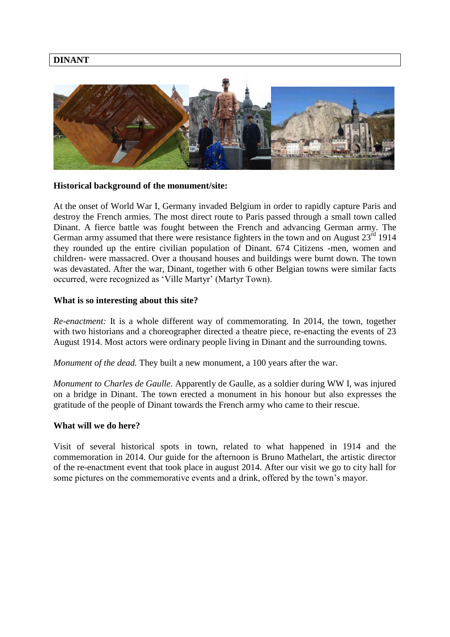## **DINANT**



#### **Historical background of the monument/site:**

At the onset of World War I, Germany invaded Belgium in order to rapidly capture Paris and destroy the French armies. The most direct route to Paris passed through a small town called Dinant. A fierce battle was fought between the French and advancing German army. The German army assumed that there were resistance fighters in the town and on August  $23<sup>rd</sup> 1914$ they rounded up the entire civilian population of Dinant. 674 Citizens -men, women and children- were massacred. Over a thousand houses and buildings were burnt down. The town was devastated. After the war, Dinant, together with 6 other Belgian towns were similar facts occurred, were recognized as 'Ville Martyr' (Martyr Town).

#### **What is so interesting about this site?**

*Re-enactment:* It is a whole different way of commemorating. In 2014, the town, together with two historians and a choreographer directed a theatre piece, re-enacting the events of 23 August 1914. Most actors were ordinary people living in Dinant and the surrounding towns.

*Monument of the dead.* They built a new monument, a 100 years after the war.

*Monument to Charles de Gaulle*. Apparently de Gaulle, as a soldier during WW I, was injured on a bridge in Dinant. The town erected a monument in his honour but also expresses the gratitude of the people of Dinant towards the French army who came to their rescue.

#### **What will we do here?**

Visit of several historical spots in town, related to what happened in 1914 and the commemoration in 2014. Our guide for the afternoon is Bruno Mathelart, the artistic director of the re-enactment event that took place in august 2014. After our visit we go to city hall for some pictures on the commemorative events and a drink, offered by the town's mayor.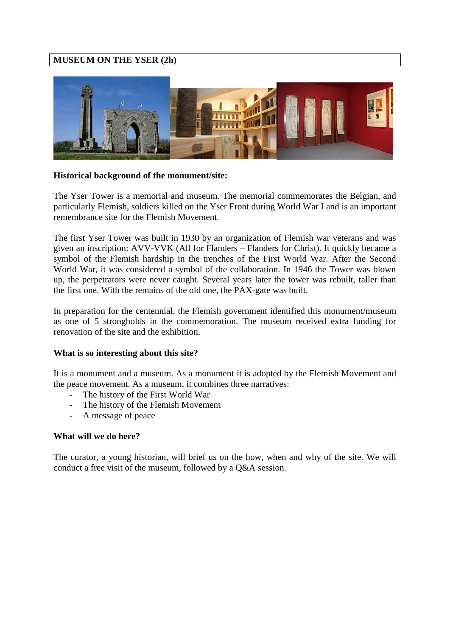# **MUSEUM ON THE YSER (2h)**



### **Historical background of the monument/site:**

The Yser Tower is a memorial and museum. The memorial commemorates the Belgian, and particularly Flemish, soldiers killed on the Yser Front during World War I and is an important remembrance site for the Flemish Movement.

The first Yser Tower was built in 1930 by an organization of Flemish war veterans and was given an inscription: AVV-VVK (All for Flanders – Flanders for Christ). It quickly became a symbol of the Flemish hardship in the trenches of the First World War. After the Second World War, it was considered a symbol of the collaboration. In 1946 the Tower was blown up, the perpetrators were never caught. Several years later the tower was rebuilt, taller than the first one. With the remains of the old one, the PAX-gate was built.

In preparation for the centennial, the Flemish government identified this monument/museum as one of 5 strongholds in the commemoration. The museum received extra funding for renovation of the site and the exhibition.

### **What is so interesting about this site?**

It is a monument and a museum. As a monument it is adopted by the Flemish Movement and the peace movement. As a museum, it combines three narratives:

- The history of the First World War
- The history of the Flemish Movement
- A message of peace

### **What will we do here?**

The curator, a young historian, will brief us on the how, when and why of the site. We will conduct a free visit of the museum, followed by a Q&A session.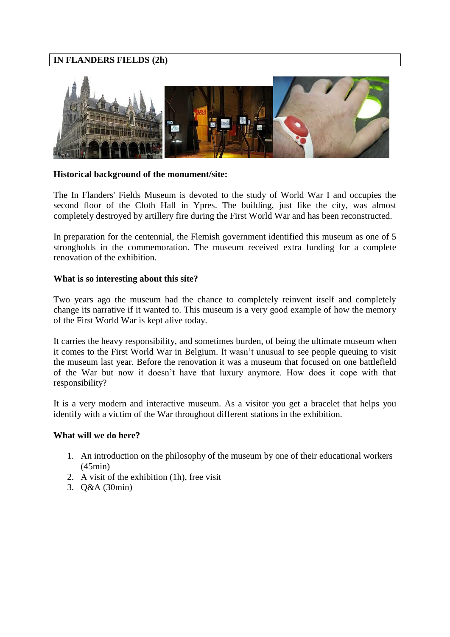# **IN FLANDERS FIELDS (2h)**



### **Historical background of the monument/site:**

The In Flanders' Fields Museum is devoted to the study of World War I and occupies the second floor of the Cloth Hall in Ypres. The building, just like the city, was almost completely destroyed by artillery fire during the First World War and has been reconstructed.

In preparation for the centennial, the Flemish government identified this museum as one of 5 strongholds in the commemoration. The museum received extra funding for a complete renovation of the exhibition.

### **What is so interesting about this site?**

Two years ago the museum had the chance to completely reinvent itself and completely change its narrative if it wanted to. This museum is a very good example of how the memory of the First World War is kept alive today.

It carries the heavy responsibility, and sometimes burden, of being the ultimate museum when it comes to the First World War in Belgium. It wasn't unusual to see people queuing to visit the museum last year. Before the renovation it was a museum that focused on one battlefield of the War but now it doesn't have that luxury anymore. How does it cope with that responsibility?

It is a very modern and interactive museum. As a visitor you get a bracelet that helps you identify with a victim of the War throughout different stations in the exhibition.

### **What will we do here?**

- 1. An introduction on the philosophy of the museum by one of their educational workers (45min)
- 2. A visit of the exhibition (1h), free visit
- 3. Q&A (30min)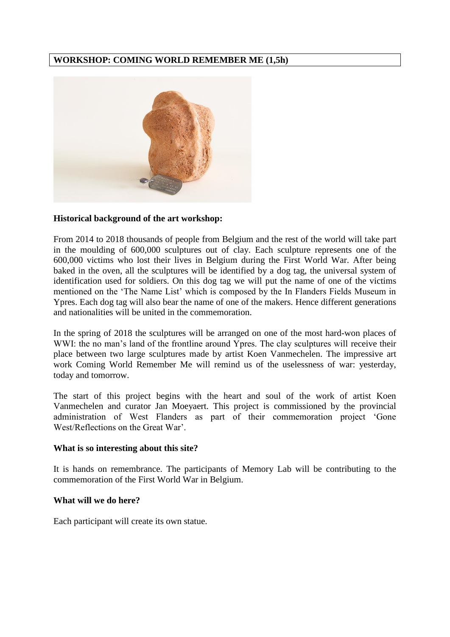# **WORKSHOP: COMING WORLD REMEMBER ME (1,5h)**



### **Historical background of the art workshop:**

From 2014 to 2018 thousands of people from Belgium and the rest of the world will take part in the moulding of 600,000 sculptures out of clay. Each sculpture represents one of the 600,000 victims who lost their lives in Belgium during the First World War. After being baked in the oven, all the sculptures will be identified by a dog tag, the universal system of identification used for soldiers. On this dog tag we will put the name of one of the victims mentioned on the 'The Name List' which is composed by the In Flanders Fields Museum in Ypres. Each dog tag will also bear the name of one of the makers. Hence different generations and nationalities will be united in the commemoration.

In the spring of 2018 the sculptures will be arranged on one of the most hard-won places of WWI: the no man's land of the frontline around Ypres. The clay sculptures will receive their place between two large sculptures made by artist Koen Vanmechelen. The impressive art work Coming World Remember Me will remind us of the uselessness of war: yesterday, today and tomorrow.

The start of this project begins with the heart and soul of the work of artist Koen Vanmechelen and curator Jan Moeyaert. This project is commissioned by the provincial administration of West Flanders as part of their commemoration project 'Gone West/Reflections on the Great War'.

#### **What is so interesting about this site?**

It is hands on remembrance. The participants of Memory Lab will be contributing to the commemoration of the First World War in Belgium.

#### **What will we do here?**

Each participant will create its own statue.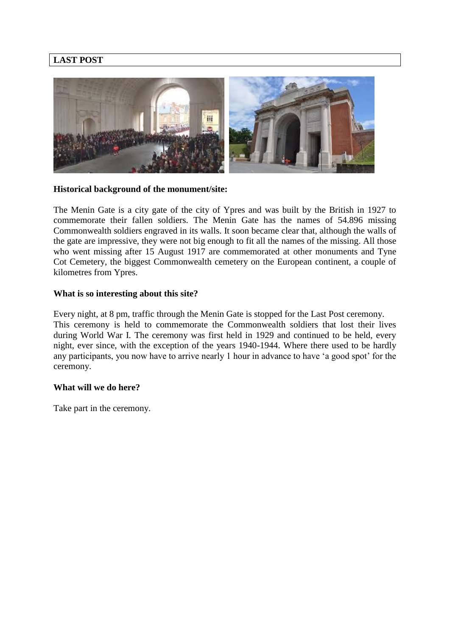# **LAST POST**



### **Historical background of the monument/site:**

The Menin Gate is a city gate of the city of Ypres and was built by the British in 1927 to commemorate their fallen soldiers. The Menin Gate has the names of 54.896 missing Commonwealth soldiers engraved in its walls. It soon became clear that, although the walls of the gate are impressive, they were not big enough to fit all the names of the missing. All those who went missing after 15 August 1917 are commemorated at other monuments and Tyne Cot Cemetery, the biggest Commonwealth cemetery on the European continent, a couple of kilometres from Ypres.

## **What is so interesting about this site?**

Every night, at 8 pm, traffic through the Menin Gate is stopped for the Last Post ceremony. This ceremony is held to commemorate the Commonwealth soldiers that lost their lives during World War I. The ceremony was first held in 1929 and continued to be held, every night, ever since, with the exception of the years 1940-1944. Where there used to be hardly any participants, you now have to arrive nearly 1 hour in advance to have 'a good spot' for the ceremony.

### **What will we do here?**

Take part in the ceremony.